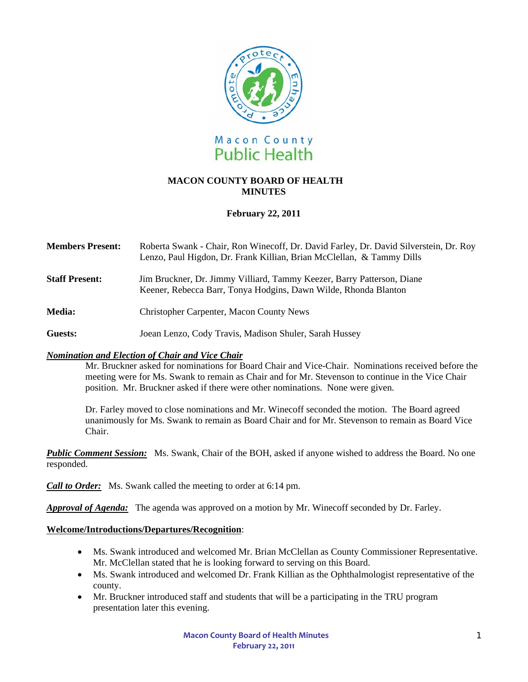

# **MACON COUNTY BOARD OF HEALTH MINUTES**

# **February 22, 2011**

| <b>Members Present:</b> | Roberta Swank - Chair, Ron Winecoff, Dr. David Farley, Dr. David Silverstein, Dr. Roy<br>Lenzo, Paul Higdon, Dr. Frank Killian, Brian McClellan, & Tammy Dills |
|-------------------------|----------------------------------------------------------------------------------------------------------------------------------------------------------------|
| <b>Staff Present:</b>   | Jim Bruckner, Dr. Jimmy Villiard, Tammy Keezer, Barry Patterson, Diane<br>Keener, Rebecca Barr, Tonya Hodgins, Dawn Wilde, Rhonda Blanton                      |
| <b>Media:</b>           | <b>Christopher Carpenter, Macon County News</b>                                                                                                                |

**Guests:** Joean Lenzo, Cody Travis, Madison Shuler, Sarah Hussey

## *Nomination and Election of Chair and Vice Chair*

 Mr. Bruckner asked for nominations for Board Chair and Vice-Chair. Nominations received before the meeting were for Ms. Swank to remain as Chair and for Mr. Stevenson to continue in the Vice Chair position. Mr. Bruckner asked if there were other nominations. None were given.

Dr. Farley moved to close nominations and Mr. Winecoff seconded the motion. The Board agreed unanimously for Ms. Swank to remain as Board Chair and for Mr. Stevenson to remain as Board Vice Chair.

*Public Comment Session:* Ms. Swank, Chair of the BOH, asked if anyone wished to address the Board. No one responded.

*Call to Order:*Ms. Swank called the meeting to order at 6:14 pm.

*Approval of Agenda:* The agenda was approved on a motion by Mr. Winecoff seconded by Dr. Farley.

## **Welcome/Introductions/Departures/Recognition**:

- Ms. Swank introduced and welcomed Mr. Brian McClellan as County Commissioner Representative. Mr. McClellan stated that he is looking forward to serving on this Board.
- Ms. Swank introduced and welcomed Dr. Frank Killian as the Ophthalmologist representative of the county.
- Mr. Bruckner introduced staff and students that will be a participating in the TRU program presentation later this evening.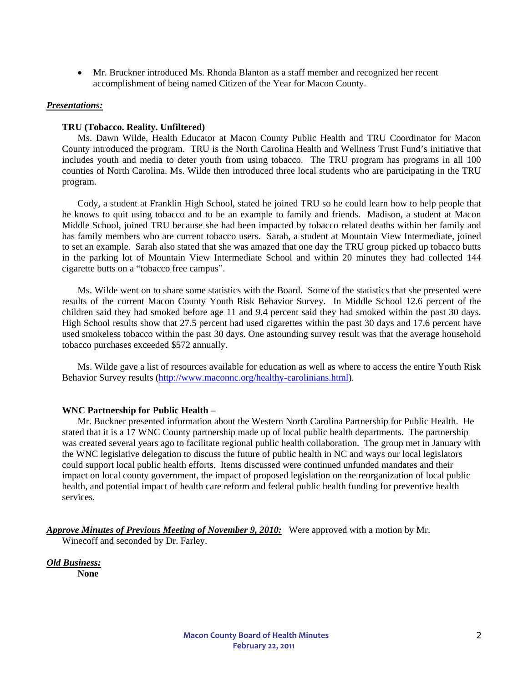• Mr. Bruckner introduced Ms. Rhonda Blanton as a staff member and recognized her recent accomplishment of being named Citizen of the Year for Macon County.

### *Presentations:*

## **TRU (Tobacco. Reality. Unfiltered)**

Ms. Dawn Wilde, Health Educator at Macon County Public Health and TRU Coordinator for Macon County introduced the program. TRU is the North Carolina Health and Wellness Trust Fund's initiative that includes youth and media to deter youth from using tobacco. The TRU program has programs in all 100 counties of North Carolina. Ms. Wilde then introduced three local students who are participating in the TRU program.

Cody, a student at Franklin High School, stated he joined TRU so he could learn how to help people that he knows to quit using tobacco and to be an example to family and friends. Madison, a student at Macon Middle School, joined TRU because she had been impacted by tobacco related deaths within her family and has family members who are current tobacco users. Sarah, a student at Mountain View Intermediate, joined to set an example. Sarah also stated that she was amazed that one day the TRU group picked up tobacco butts in the parking lot of Mountain View Intermediate School and within 20 minutes they had collected 144 cigarette butts on a "tobacco free campus".

Ms. Wilde went on to share some statistics with the Board. Some of the statistics that she presented were results of the current Macon County Youth Risk Behavior Survey. In Middle School 12.6 percent of the children said they had smoked before age 11 and 9.4 percent said they had smoked within the past 30 days. High School results show that 27.5 percent had used cigarettes within the past 30 days and 17.6 percent have used smokeless tobacco within the past 30 days. One astounding survey result was that the average household tobacco purchases exceeded \$572 annually.

Ms. Wilde gave a list of resources available for education as well as where to access the entire Youth Risk Behavior Survey results [\(http://www.maconnc.org/healthy-carolinians.html](http://www.maconnc.org/healthy-carolinians.html)).

#### **WNC Partnership for Public Health** –

Mr. Buckner presented information about the Western North Carolina Partnership for Public Health. He stated that it is a 17 WNC County partnership made up of local public health departments. The partnership was created several years ago to facilitate regional public health collaboration. The group met in January with the WNC legislative delegation to discuss the future of public health in NC and ways our local legislators could support local public health efforts. Items discussed were continued unfunded mandates and their impact on local county government, the impact of proposed legislation on the reorganization of local public health, and potential impact of health care reform and federal public health funding for preventive health services.

Approve Minutes of Previous Meeting of November 9, 2010: Were approved with a motion by Mr. Winecoff and seconded by Dr. Farley.

*Old Business:* 

**None**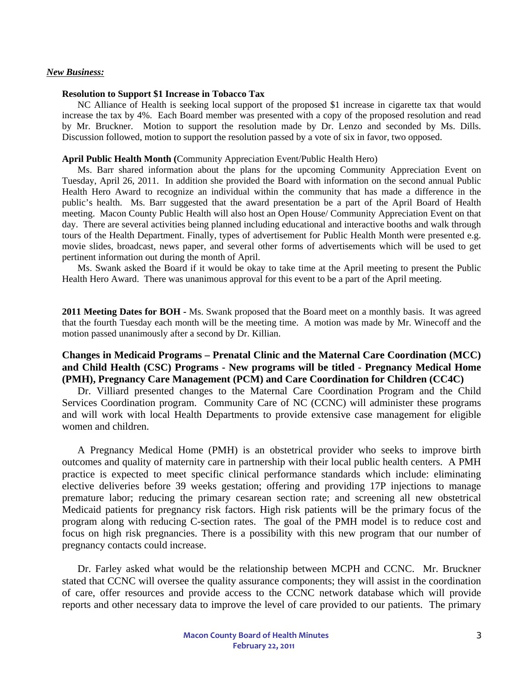### *New Business:*

### **Resolution to Support \$1 Increase in Tobacco Tax**

NC Alliance of Health is seeking local support of the proposed \$1 increase in cigarette tax that would increase the tax by 4%. Each Board member was presented with a copy of the proposed resolution and read by Mr. Bruckner. Motion to support the resolution made by Dr. Lenzo and seconded by Ms. Dills. Discussion followed, motion to support the resolution passed by a vote of six in favor, two opposed.

### **April Public Health Month (**Community Appreciation Event/Public Health Hero)

Ms. Barr shared information about the plans for the upcoming Community Appreciation Event on Tuesday, April 26, 2011. In addition she provided the Board with information on the second annual Public Health Hero Award to recognize an individual within the community that has made a difference in the public's health. Ms. Barr suggested that the award presentation be a part of the April Board of Health meeting. Macon County Public Health will also host an Open House/ Community Appreciation Event on that day. There are several activities being planned including educational and interactive booths and walk through tours of the Health Department. Finally, types of advertisement for Public Health Month were presented e.g. movie slides, broadcast, news paper, and several other forms of advertisements which will be used to get pertinent information out during the month of April.

 Ms. Swank asked the Board if it would be okay to take time at the April meeting to present the Public Health Hero Award. There was unanimous approval for this event to be a part of the April meeting.

**2011 Meeting Dates for BOH -** Ms. Swank proposed that the Board meet on a monthly basis. It was agreed that the fourth Tuesday each month will be the meeting time. A motion was made by Mr. Winecoff and the motion passed unanimously after a second by Dr. Killian.

# **Changes in Medicaid Programs – Prenatal Clinic and the Maternal Care Coordination (MCC) and Child Health (CSC) Programs - New programs will be titled - Pregnancy Medical Home (PMH), Pregnancy Care Management (PCM) and Care Coordination for Children (CC4C)**

Dr. Villiard presented changes to the Maternal Care Coordination Program and the Child Services Coordination program. Community Care of NC (CCNC) will administer these programs and will work with local Health Departments to provide extensive case management for eligible women and children.

A Pregnancy Medical Home (PMH) is an obstetrical provider who seeks to improve birth outcomes and quality of maternity care in partnership with their local public health centers. A PMH practice is expected to meet specific clinical performance standards which include: eliminating elective deliveries before 39 weeks gestation; offering and providing 17P injections to manage premature labor; reducing the primary cesarean section rate; and screening all new obstetrical Medicaid patients for pregnancy risk factors. High risk patients will be the primary focus of the program along with reducing C-section rates. The goal of the PMH model is to reduce cost and focus on high risk pregnancies. There is a possibility with this new program that our number of pregnancy contacts could increase.

 Dr. Farley asked what would be the relationship between MCPH and CCNC. Mr. Bruckner stated that CCNC will oversee the quality assurance components; they will assist in the coordination of care, offer resources and provide access to the CCNC network database which will provide reports and other necessary data to improve the level of care provided to our patients. The primary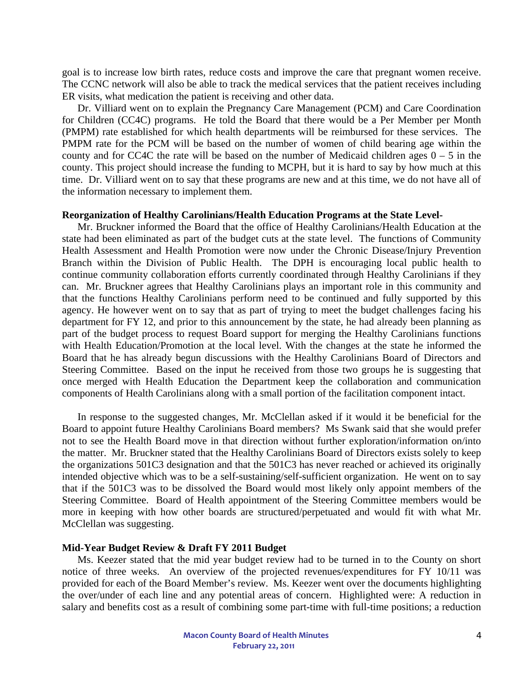goal is to increase low birth rates, reduce costs and improve the care that pregnant women receive. The CCNC network will also be able to track the medical services that the patient receives including ER visits, what medication the patient is receiving and other data.

Dr. Villiard went on to explain the Pregnancy Care Management (PCM) and Care Coordination for Children (CC4C) programs. He told the Board that there would be a Per Member per Month (PMPM) rate established for which health departments will be reimbursed for these services. The PMPM rate for the PCM will be based on the number of women of child bearing age within the county and for CC4C the rate will be based on the number of Medicaid children ages  $0 - 5$  in the county. This project should increase the funding to MCPH, but it is hard to say by how much at this time. Dr. Villiard went on to say that these programs are new and at this time, we do not have all of the information necessary to implement them.

### **Reorganization of Healthy Carolinians/Health Education Programs at the State Level-**

Mr. Bruckner informed the Board that the office of Healthy Carolinians/Health Education at the state had been eliminated as part of the budget cuts at the state level. The functions of Community Health Assessment and Health Promotion were now under the Chronic Disease/Injury Prevention Branch within the Division of Public Health. The DPH is encouraging local public health to continue community collaboration efforts currently coordinated through Healthy Carolinians if they can. Mr. Bruckner agrees that Healthy Carolinians plays an important role in this community and that the functions Healthy Carolinians perform need to be continued and fully supported by this agency. He however went on to say that as part of trying to meet the budget challenges facing his department for FY 12, and prior to this announcement by the state, he had already been planning as part of the budget process to request Board support for merging the Healthy Carolinians functions with Health Education/Promotion at the local level. With the changes at the state he informed the Board that he has already begun discussions with the Healthy Carolinians Board of Directors and Steering Committee. Based on the input he received from those two groups he is suggesting that once merged with Health Education the Department keep the collaboration and communication components of Health Carolinians along with a small portion of the facilitation component intact.

 In response to the suggested changes, Mr. McClellan asked if it would it be beneficial for the Board to appoint future Healthy Carolinians Board members? Ms Swank said that she would prefer not to see the Health Board move in that direction without further exploration/information on/into the matter. Mr. Bruckner stated that the Healthy Carolinians Board of Directors exists solely to keep the organizations 501C3 designation and that the 501C3 has never reached or achieved its originally intended objective which was to be a self-sustaining/self-sufficient organization. He went on to say that if the 501C3 was to be dissolved the Board would most likely only appoint members of the Steering Committee. Board of Health appointment of the Steering Committee members would be more in keeping with how other boards are structured/perpetuated and would fit with what Mr. McClellan was suggesting.

#### **Mid-Year Budget Review & Draft FY 2011 Budget**

Ms. Keezer stated that the mid year budget review had to be turned in to the County on short notice of three weeks. An overview of the projected revenues/expenditures for FY 10/11 was provided for each of the Board Member's review. Ms. Keezer went over the documents highlighting the over/under of each line and any potential areas of concern. Highlighted were: A reduction in salary and benefits cost as a result of combining some part-time with full-time positions; a reduction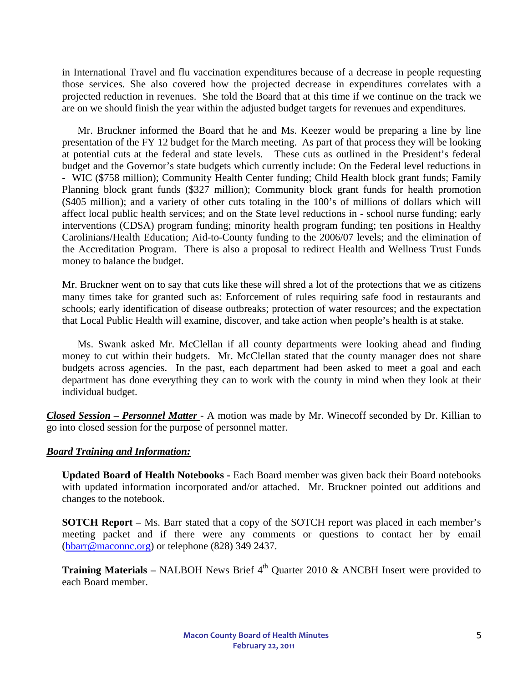in International Travel and flu vaccination expenditures because of a decrease in people requesting those services. She also covered how the projected decrease in expenditures correlates with a projected reduction in revenues. She told the Board that at this time if we continue on the track we are on we should finish the year within the adjusted budget targets for revenues and expenditures.

 Mr. Bruckner informed the Board that he and Ms. Keezer would be preparing a line by line presentation of the FY 12 budget for the March meeting. As part of that process they will be looking at potential cuts at the federal and state levels. These cuts as outlined in the President's federal budget and the Governor's state budgets which currently include: On the Federal level reductions in - WIC (\$758 million); Community Health Center funding; Child Health block grant funds; Family Planning block grant funds (\$327 million); Community block grant funds for health promotion (\$405 million); and a variety of other cuts totaling in the 100's of millions of dollars which will affect local public health services; and on the State level reductions in - school nurse funding; early interventions (CDSA) program funding; minority health program funding; ten positions in Healthy Carolinians/Health Education; Aid-to-County funding to the 2006/07 levels; and the elimination of the Accreditation Program. There is also a proposal to redirect Health and Wellness Trust Funds money to balance the budget.

Mr. Bruckner went on to say that cuts like these will shred a lot of the protections that we as citizens many times take for granted such as: Enforcement of rules requiring safe food in restaurants and schools; early identification of disease outbreaks; protection of water resources; and the expectation that Local Public Health will examine, discover, and take action when people's health is at stake.

 Ms. Swank asked Mr. McClellan if all county departments were looking ahead and finding money to cut within their budgets. Mr. McClellan stated that the county manager does not share budgets across agencies. In the past, each department had been asked to meet a goal and each department has done everything they can to work with the county in mind when they look at their individual budget.

*Closed Session – Personnel Matter* - A motion was made by Mr. Winecoff seconded by Dr. Killian to go into closed session for the purpose of personnel matter.

# *Board Training and Information:*

**Updated Board of Health Notebooks -** Each Board member was given back their Board notebooks with updated information incorporated and/or attached. Mr. Bruckner pointed out additions and changes to the notebook.

**SOTCH Report –** Ms. Barr stated that a copy of the SOTCH report was placed in each member's meeting packet and if there were any comments or questions to contact her by email ([bbarr@maconnc.org\)](mailto:bbarr@maconnc.org) or telephone (828) 349 2437.

**Training Materials – NALBOH News Brief 4<sup>th</sup> Quarter 2010 & ANCBH Insert were provided to** each Board member.